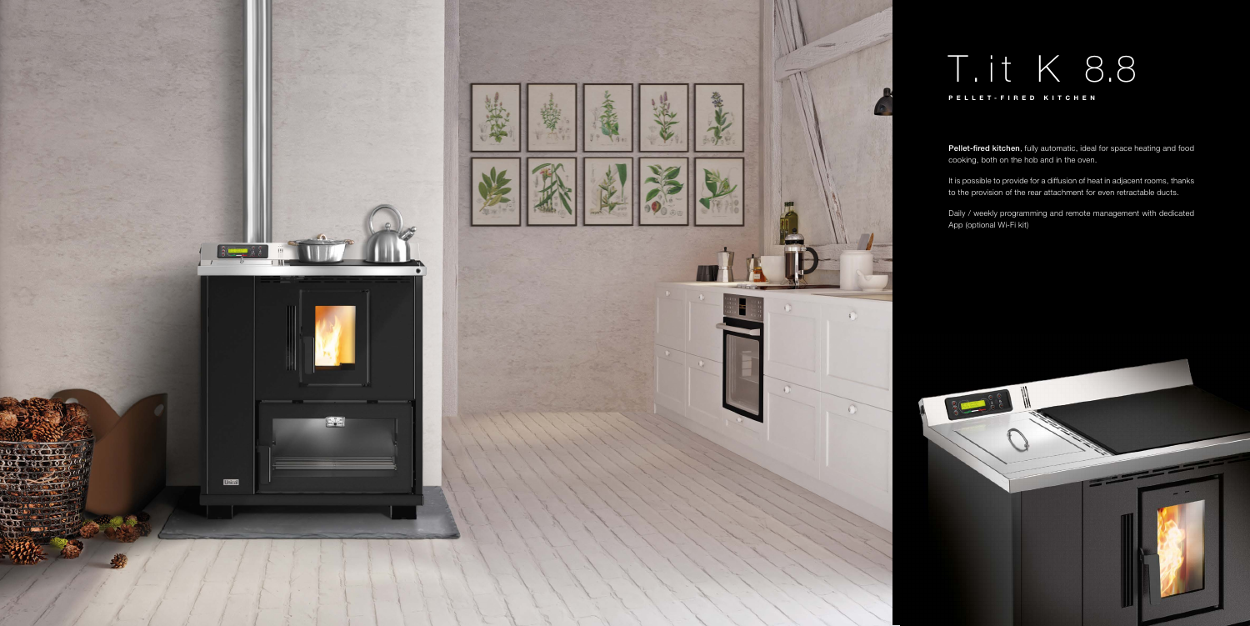